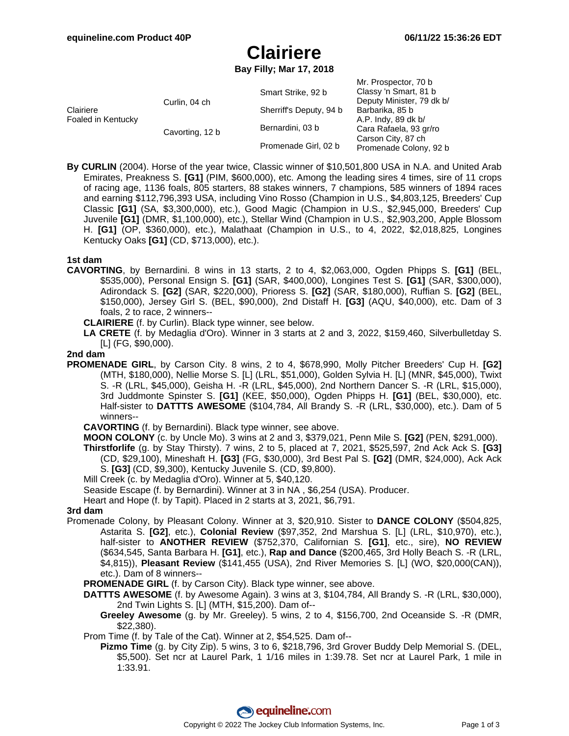# **Clairiere**

**Bay Filly; Mar 17, 2018**

| Clairiere<br>Foaled in Kentucky | Curlin, 04 ch   | Smart Strike, 92 b      | Mr. Prospector, 70 b<br>Classy 'n Smart, 81 b<br>Deputy Minister, 79 dk b/<br>Barbarika, 85 b<br>A.P. Indy, 89 dk b/<br>Cara Rafaela, 93 gr/ro<br>Carson City, 87 ch<br>Promenade Colony, 92 b |
|---------------------------------|-----------------|-------------------------|------------------------------------------------------------------------------------------------------------------------------------------------------------------------------------------------|
|                                 |                 | Sherriff's Deputy, 94 b |                                                                                                                                                                                                |
|                                 | Cavorting, 12 b | Bernardini, 03 b        |                                                                                                                                                                                                |
|                                 |                 | Promenade Girl, 02 b    |                                                                                                                                                                                                |

**By CURLIN** (2004). Horse of the year twice, Classic winner of \$10,501,800 USA in N.A. and United Arab Emirates, Preakness S. **[G1]** (PIM, \$600,000), etc. Among the leading sires 4 times, sire of 11 crops of racing age, 1136 foals, 805 starters, 88 stakes winners, 7 champions, 585 winners of 1894 races and earning \$112,796,393 USA, including Vino Rosso (Champion in U.S., \$4,803,125, Breeders' Cup Classic **[G1]** (SA, \$3,300,000), etc.), Good Magic (Champion in U.S., \$2,945,000, Breeders' Cup Juvenile **[G1]** (DMR, \$1,100,000), etc.), Stellar Wind (Champion in U.S., \$2,903,200, Apple Blossom H. **[G1]** (OP, \$360,000), etc.), Malathaat (Champion in U.S., to 4, 2022, \$2,018,825, Longines Kentucky Oaks **[G1]** (CD, \$713,000), etc.).

### **1st dam**

- **CAVORTING**, by Bernardini. 8 wins in 13 starts, 2 to 4, \$2,063,000, Ogden Phipps S. **[G1]** (BEL, \$535,000), Personal Ensign S. **[G1]** (SAR, \$400,000), Longines Test S. **[G1]** (SAR, \$300,000), Adirondack S. **[G2]** (SAR, \$220,000), Prioress S. **[G2]** (SAR, \$180,000), Ruffian S. **[G2]** (BEL, \$150,000), Jersey Girl S. (BEL, \$90,000), 2nd Distaff H. **[G3]** (AQU, \$40,000), etc. Dam of 3 foals, 2 to race, 2 winners--
	- **CLAIRIERE** (f. by Curlin). Black type winner, see below.
	- **LA CRETE** (f. by Medaglia d'Oro). Winner in 3 starts at 2 and 3, 2022, \$159,460, Silverbulletday S. [L] (FG, \$90,000).

### **2nd dam**

- **PROMENADE GIRL**, by Carson City. 8 wins, 2 to 4, \$678,990, Molly Pitcher Breeders' Cup H. **[G2]** (MTH, \$180,000), Nellie Morse S. [L] (LRL, \$51,000), Golden Sylvia H. [L] (MNR, \$45,000), Twixt S. -R (LRL, \$45,000), Geisha H. -R (LRL, \$45,000), 2nd Northern Dancer S. -R (LRL, \$15,000), 3rd Juddmonte Spinster S. **[G1]** (KEE, \$50,000), Ogden Phipps H. **[G1]** (BEL, \$30,000), etc. Half-sister to **DATTTS AWESOME** (\$104,784, All Brandy S. -R (LRL, \$30,000), etc.). Dam of 5 winners--
	- **CAVORTING** (f. by Bernardini). Black type winner, see above.
	- **MOON COLONY** (c. by Uncle Mo). 3 wins at 2 and 3, \$379,021, Penn Mile S. **[G2]** (PEN, \$291,000).
	- **Thirstforlife** (g. by Stay Thirsty). 7 wins, 2 to 5, placed at 7, 2021, \$525,597, 2nd Ack Ack S. **[G3]** (CD, \$29,100), Mineshaft H. **[G3]** (FG, \$30,000), 3rd Best Pal S. **[G2]** (DMR, \$24,000), Ack Ack S. **[G3]** (CD, \$9,300), Kentucky Juvenile S. (CD, \$9,800).
	- Mill Creek (c. by Medaglia d'Oro). Winner at 5, \$40,120.
	- Seaside Escape (f. by Bernardini). Winner at 3 in NA , \$6,254 (USA). Producer.
	- Heart and Hope (f. by Tapit). Placed in 2 starts at 3, 2021, \$6,791.

### **3rd dam**

- Promenade Colony, by Pleasant Colony. Winner at 3, \$20,910. Sister to **DANCE COLONY** (\$504,825, Astarita S. **[G2]**, etc.), **Colonial Review** (\$97,352, 2nd Marshua S. [L] (LRL, \$10,970), etc.), half-sister to **ANOTHER REVIEW** (\$752,370, Californian S. **[G1]**, etc., sire), **NO REVIEW** (\$634,545, Santa Barbara H. **[G1]**, etc.), **Rap and Dance** (\$200,465, 3rd Holly Beach S. -R (LRL, \$4,815)), **Pleasant Review** (\$141,455 (USA), 2nd River Memories S. [L] (WO, \$20,000(CAN)), etc.). Dam of 8 winners--
	- **PROMENADE GIRL** (f. by Carson City). Black type winner, see above.
	- **DATTTS AWESOME** (f. by Awesome Again). 3 wins at 3, \$104,784, All Brandy S. -R (LRL, \$30,000), 2nd Twin Lights S. [L] (MTH, \$15,200). Dam of--
		- **Greeley Awesome** (g. by Mr. Greeley). 5 wins, 2 to 4, \$156,700, 2nd Oceanside S. -R (DMR, \$22,380).
	- Prom Time (f. by Tale of the Cat). Winner at 2, \$54,525. Dam of--
		- **Pizmo Time** (g. by City Zip). 5 wins, 3 to 6, \$218,796, 3rd Grover Buddy Delp Memorial S. (DEL, \$5,500). Set ncr at Laurel Park, 1 1/16 miles in 1:39.78. Set ncr at Laurel Park, 1 mile in 1:33.91.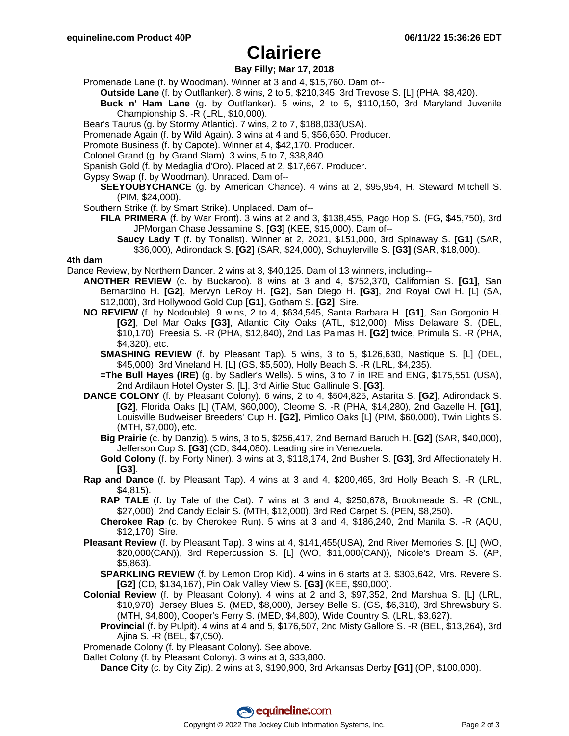# **Clairiere**

### **Bay Filly; Mar 17, 2018**

Promenade Lane (f. by Woodman). Winner at 3 and 4, \$15,760. Dam of--

**Outside Lane** (f. by Outflanker). 8 wins, 2 to 5, \$210,345, 3rd Trevose S. [L] (PHA, \$8,420).

- **Buck n' Ham Lane** (g. by Outflanker). 5 wins, 2 to 5, \$110,150, 3rd Maryland Juvenile Championship S. -R (LRL, \$10,000).
- Bear's Taurus (g. by Stormy Atlantic). 7 wins, 2 to 7, \$188,033(USA).
- Promenade Again (f. by Wild Again). 3 wins at 4 and 5, \$56,650. Producer.
- Promote Business (f. by Capote). Winner at 4, \$42,170. Producer.
- Colonel Grand (g. by Grand Slam). 3 wins, 5 to 7, \$38,840.
- Spanish Gold (f. by Medaglia d'Oro). Placed at 2, \$17,667. Producer.
- Gypsy Swap (f. by Woodman). Unraced. Dam of--
	- **SEEYOUBYCHANCE** (g. by American Chance). 4 wins at 2, \$95,954, H. Steward Mitchell S. (PIM, \$24,000).
- Southern Strike (f. by Smart Strike). Unplaced. Dam of--
	- **FILA PRIMERA** (f. by War Front). 3 wins at 2 and 3, \$138,455, Pago Hop S. (FG, \$45,750), 3rd JPMorgan Chase Jessamine S. **[G3]** (KEE, \$15,000). Dam of--
		- **Saucy Lady T** (f. by Tonalist). Winner at 2, 2021, \$151,000, 3rd Spinaway S. **[G1]** (SAR, \$36,000), Adirondack S. **[G2]** (SAR, \$24,000), Schuylerville S. **[G3]** (SAR, \$18,000).

### **4th dam**

Dance Review, by Northern Dancer. 2 wins at 3, \$40,125. Dam of 13 winners, including--

- **ANOTHER REVIEW** (c. by Buckaroo). 8 wins at 3 and 4, \$752,370, Californian S. **[G1]**, San Bernardino H. **[G2]**, Mervyn LeRoy H. **[G2]**, San Diego H. **[G3]**, 2nd Royal Owl H. [L] (SA, \$12,000), 3rd Hollywood Gold Cup **[G1]**, Gotham S. **[G2]**. Sire.
- **NO REVIEW** (f. by Nodouble). 9 wins, 2 to 4, \$634,545, Santa Barbara H. **[G1]**, San Gorgonio H. **[G2]**, Del Mar Oaks **[G3]**, Atlantic City Oaks (ATL, \$12,000), Miss Delaware S. (DEL, \$10,170), Freesia S. -R (PHA, \$12,840), 2nd Las Palmas H. **[G2]** twice, Primula S. -R (PHA, \$4,320), etc.
	- **SMASHING REVIEW** (f. by Pleasant Tap). 5 wins, 3 to 5, \$126,630, Nastique S. [L] (DEL, \$45,000), 3rd Vineland H. [L] (GS, \$5,500), Holly Beach S. -R (LRL, \$4,235).
	- **=The Bull Hayes (IRE)** (g. by Sadler's Wells). 5 wins, 3 to 7 in IRE and ENG, \$175,551 (USA), 2nd Ardilaun Hotel Oyster S. [L], 3rd Airlie Stud Gallinule S. **[G3]**.
- **DANCE COLONY** (f. by Pleasant Colony). 6 wins, 2 to 4, \$504,825, Astarita S. **[G2]**, Adirondack S. **[G2]**, Florida Oaks [L] (TAM, \$60,000), Cleome S. -R (PHA, \$14,280), 2nd Gazelle H. **[G1]**, Louisville Budweiser Breeders' Cup H. **[G2]**, Pimlico Oaks [L] (PIM, \$60,000), Twin Lights S. (MTH, \$7,000), etc.
	- **Big Prairie** (c. by Danzig). 5 wins, 3 to 5, \$256,417, 2nd Bernard Baruch H. **[G2]** (SAR, \$40,000), Jefferson Cup S. **[G3]** (CD, \$44,080). Leading sire in Venezuela.
	- **Gold Colony** (f. by Forty Niner). 3 wins at 3, \$118,174, 2nd Busher S. **[G3]**, 3rd Affectionately H. **[G3]**.
- **Rap and Dance** (f. by Pleasant Tap). 4 wins at 3 and 4, \$200,465, 3rd Holly Beach S. -R (LRL, \$4,815).
	- **RAP TALE** (f. by Tale of the Cat). 7 wins at 3 and 4, \$250,678, Brookmeade S. -R (CNL, \$27,000), 2nd Candy Eclair S. (MTH, \$12,000), 3rd Red Carpet S. (PEN, \$8,250).
	- **Cherokee Rap** (c. by Cherokee Run). 5 wins at 3 and 4, \$186,240, 2nd Manila S. -R (AQU, \$12,170). Sire.
- **Pleasant Review** (f. by Pleasant Tap). 3 wins at 4, \$141,455(USA), 2nd River Memories S. [L] (WO, \$20,000(CAN)), 3rd Repercussion S. [L] (WO, \$11,000(CAN)), Nicole's Dream S. (AP, \$5,863).
	- **SPARKLING REVIEW** (f. by Lemon Drop Kid). 4 wins in 6 starts at 3, \$303,642, Mrs. Revere S. **[G2]** (CD, \$134,167), Pin Oak Valley View S. **[G3]** (KEE, \$90,000).
- **Colonial Review** (f. by Pleasant Colony). 4 wins at 2 and 3, \$97,352, 2nd Marshua S. [L] (LRL, \$10,970), Jersey Blues S. (MED, \$8,000), Jersey Belle S. (GS, \$6,310), 3rd Shrewsbury S. (MTH, \$4,800), Cooper's Ferry S. (MED, \$4,800), Wide Country S. (LRL, \$3,627).
	- **Provincial** (f. by Pulpit). 4 wins at 4 and 5, \$176,507, 2nd Misty Gallore S. -R (BEL, \$13,264), 3rd Ajina S. -R (BEL, \$7,050).
- Promenade Colony (f. by Pleasant Colony). See above.
- Ballet Colony (f. by Pleasant Colony). 3 wins at 3, \$33,880.
	- **Dance City** (c. by City Zip). 2 wins at 3, \$190,900, 3rd Arkansas Derby **[G1]** (OP, \$100,000).